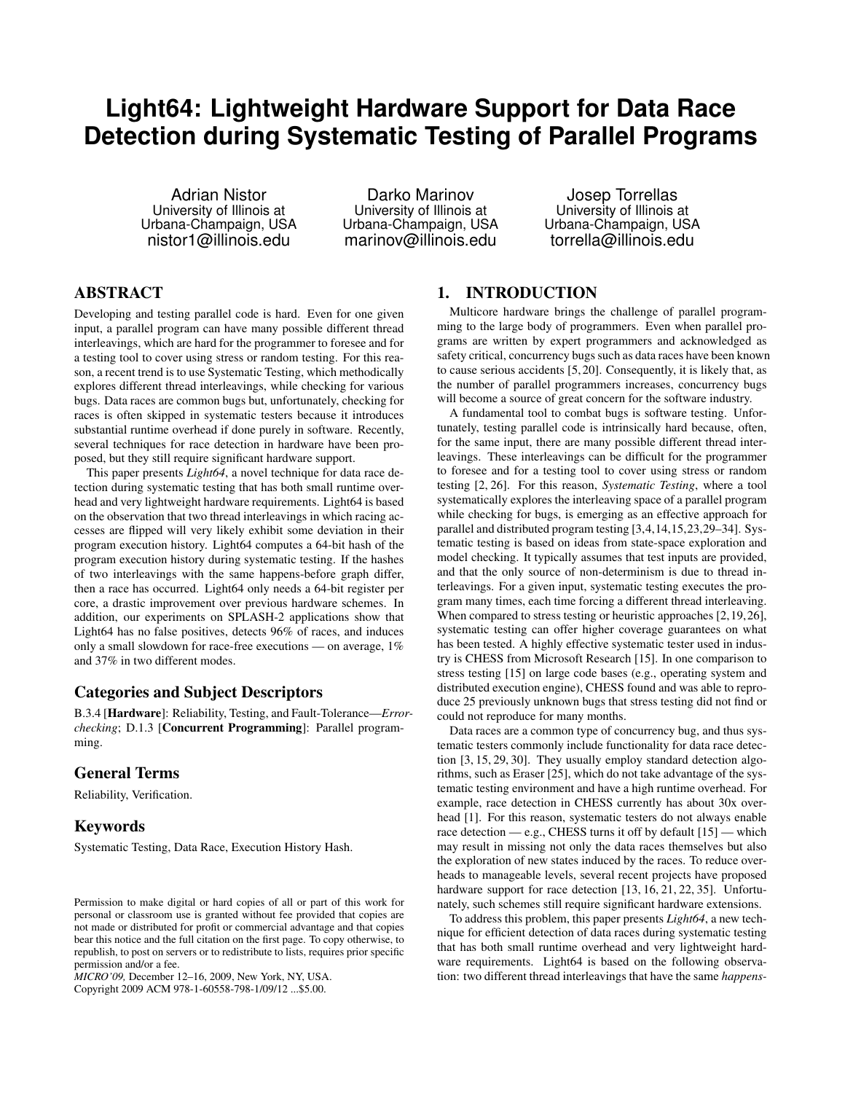# **Light64: Lightweight Hardware Support for Data Race Detection during Systematic Testing of Parallel Programs**

Adrian Nistor University of Illinois at Urbana-Champaign, USA nistor1@illinois.edu

Darko Marinov University of Illinois at Urbana-Champaign, USA marinov@illinois.edu

Josep Torrellas University of Illinois at Urbana-Champaign, USA torrella@illinois.edu

# ABSTRACT

Developing and testing parallel code is hard. Even for one given input, a parallel program can have many possible different thread interleavings, which are hard for the programmer to foresee and for a testing tool to cover using stress or random testing. For this reason, a recent trend is to use Systematic Testing, which methodically explores different thread interleavings, while checking for various bugs. Data races are common bugs but, unfortunately, checking for races is often skipped in systematic testers because it introduces substantial runtime overhead if done purely in software. Recently, several techniques for race detection in hardware have been proposed, but they still require significant hardware support.

This paper presents *Light64*, a novel technique for data race detection during systematic testing that has both small runtime overhead and very lightweight hardware requirements. Light64 is based on the observation that two thread interleavings in which racing accesses are flipped will very likely exhibit some deviation in their program execution history. Light64 computes a 64-bit hash of the program execution history during systematic testing. If the hashes of two interleavings with the same happens-before graph differ, then a race has occurred. Light64 only needs a 64-bit register per core, a drastic improvement over previous hardware schemes. In addition, our experiments on SPLASH-2 applications show that Light64 has no false positives, detects 96% of races, and induces only a small slowdown for race-free executions — on average, 1% and 37% in two different modes.

### Categories and Subject Descriptors

B.3.4 [Hardware]: Reliability, Testing, and Fault-Tolerance—*Errorchecking*; D.1.3 [Concurrent Programming]: Parallel programming.

#### General Terms

Reliability, Verification.

## Keywords

Systematic Testing, Data Race, Execution History Hash.

Copyright 2009 ACM 978-1-60558-798-1/09/12 ...\$5.00.

## 1. INTRODUCTION

Multicore hardware brings the challenge of parallel programming to the large body of programmers. Even when parallel programs are written by expert programmers and acknowledged as safety critical, concurrency bugs such as data races have been known to cause serious accidents [5, 20]. Consequently, it is likely that, as the number of parallel programmers increases, concurrency bugs will become a source of great concern for the software industry.

A fundamental tool to combat bugs is software testing. Unfortunately, testing parallel code is intrinsically hard because, often, for the same input, there are many possible different thread interleavings. These interleavings can be difficult for the programmer to foresee and for a testing tool to cover using stress or random testing [2, 26]. For this reason, *Systematic Testing*, where a tool systematically explores the interleaving space of a parallel program while checking for bugs, is emerging as an effective approach for parallel and distributed program testing [3,4,14,15,23,29–34]. Systematic testing is based on ideas from state-space exploration and model checking. It typically assumes that test inputs are provided, and that the only source of non-determinism is due to thread interleavings. For a given input, systematic testing executes the program many times, each time forcing a different thread interleaving. When compared to stress testing or heuristic approaches [2,19,26], systematic testing can offer higher coverage guarantees on what has been tested. A highly effective systematic tester used in industry is CHESS from Microsoft Research [15]. In one comparison to stress testing [15] on large code bases (e.g., operating system and distributed execution engine), CHESS found and was able to reproduce 25 previously unknown bugs that stress testing did not find or could not reproduce for many months.

Data races are a common type of concurrency bug, and thus systematic testers commonly include functionality for data race detection [3, 15, 29, 30]. They usually employ standard detection algorithms, such as Eraser [25], which do not take advantage of the systematic testing environment and have a high runtime overhead. For example, race detection in CHESS currently has about 30x overhead [1]. For this reason, systematic testers do not always enable race detection — e.g., CHESS turns it off by default [15] — which may result in missing not only the data races themselves but also the exploration of new states induced by the races. To reduce overheads to manageable levels, several recent projects have proposed hardware support for race detection [13, 16, 21, 22, 35]. Unfortunately, such schemes still require significant hardware extensions.

To address this problem, this paper presents *Light64*, a new technique for efficient detection of data races during systematic testing that has both small runtime overhead and very lightweight hardware requirements. Light64 is based on the following observation: two different thread interleavings that have the same *happens-*

Permission to make digital or hard copies of all or part of this work for personal or classroom use is granted without fee provided that copies are not made or distributed for profit or commercial advantage and that copies bear this notice and the full citation on the first page. To copy otherwise, to republish, to post on servers or to redistribute to lists, requires prior specific permission and/or a fee.

*MICRO'09,* December 12–16, 2009, New York, NY, USA.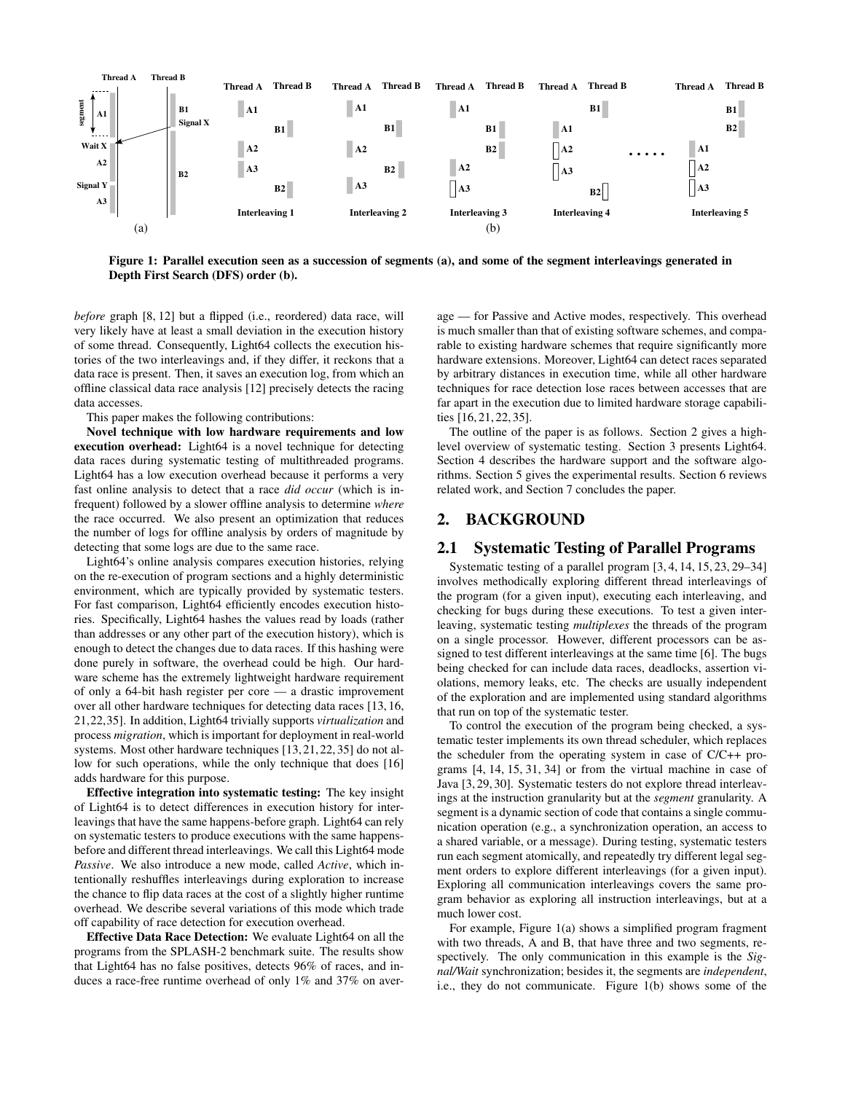

Figure 1: Parallel execution seen as a succession of segments (a), and some of the segment interleavings generated in Depth First Search (DFS) order (b).

*before* graph [8, 12] but a flipped (i.e., reordered) data race, will very likely have at least a small deviation in the execution history of some thread. Consequently, Light64 collects the execution histories of the two interleavings and, if they differ, it reckons that a data race is present. Then, it saves an execution log, from which an offline classical data race analysis [12] precisely detects the racing data accesses.

This paper makes the following contributions:

Novel technique with low hardware requirements and low execution overhead: Light64 is a novel technique for detecting data races during systematic testing of multithreaded programs. Light64 has a low execution overhead because it performs a very fast online analysis to detect that a race *did occur* (which is infrequent) followed by a slower offline analysis to determine *where* the race occurred. We also present an optimization that reduces the number of logs for offline analysis by orders of magnitude by detecting that some logs are due to the same race.

Light64's online analysis compares execution histories, relying on the re-execution of program sections and a highly deterministic environment, which are typically provided by systematic testers. For fast comparison, Light64 efficiently encodes execution histories. Specifically, Light64 hashes the values read by loads (rather than addresses or any other part of the execution history), which is enough to detect the changes due to data races. If this hashing were done purely in software, the overhead could be high. Our hardware scheme has the extremely lightweight hardware requirement of only a 64-bit hash register per core — a drastic improvement over all other hardware techniques for detecting data races [13, 16, 21,22,35]. In addition, Light64 trivially supports *virtualization* and process *migration*, which is important for deployment in real-world systems. Most other hardware techniques [13,21,22,35] do not allow for such operations, while the only technique that does [16] adds hardware for this purpose.

Effective integration into systematic testing: The key insight of Light64 is to detect differences in execution history for interleavings that have the same happens-before graph. Light64 can rely on systematic testers to produce executions with the same happensbefore and different thread interleavings. We call this Light64 mode *Passive*. We also introduce a new mode, called *Active*, which intentionally reshuffles interleavings during exploration to increase the chance to flip data races at the cost of a slightly higher runtime overhead. We describe several variations of this mode which trade off capability of race detection for execution overhead.

Effective Data Race Detection: We evaluate Light64 on all the programs from the SPLASH-2 benchmark suite. The results show that Light64 has no false positives, detects 96% of races, and induces a race-free runtime overhead of only 1% and 37% on average — for Passive and Active modes, respectively. This overhead is much smaller than that of existing software schemes, and comparable to existing hardware schemes that require significantly more hardware extensions. Moreover, Light64 can detect races separated by arbitrary distances in execution time, while all other hardware techniques for race detection lose races between accesses that are far apart in the execution due to limited hardware storage capabilities [16, 21, 22, 35].

The outline of the paper is as follows. Section 2 gives a highlevel overview of systematic testing. Section 3 presents Light64. Section 4 describes the hardware support and the software algorithms. Section 5 gives the experimental results. Section 6 reviews related work, and Section 7 concludes the paper.

## 2. BACKGROUND

#### 2.1 Systematic Testing of Parallel Programs

Systematic testing of a parallel program [3, 4, 14, 15, 23, 29–34] involves methodically exploring different thread interleavings of the program (for a given input), executing each interleaving, and checking for bugs during these executions. To test a given interleaving, systematic testing *multiplexes* the threads of the program on a single processor. However, different processors can be assigned to test different interleavings at the same time [6]. The bugs being checked for can include data races, deadlocks, assertion violations, memory leaks, etc. The checks are usually independent of the exploration and are implemented using standard algorithms that run on top of the systematic tester.

To control the execution of the program being checked, a systematic tester implements its own thread scheduler, which replaces the scheduler from the operating system in case of C/C++ programs [4, 14, 15, 31, 34] or from the virtual machine in case of Java [3, 29, 30]. Systematic testers do not explore thread interleavings at the instruction granularity but at the *segment* granularity. A segment is a dynamic section of code that contains a single communication operation (e.g., a synchronization operation, an access to a shared variable, or a message). During testing, systematic testers run each segment atomically, and repeatedly try different legal segment orders to explore different interleavings (for a given input). Exploring all communication interleavings covers the same program behavior as exploring all instruction interleavings, but at a much lower cost.

For example, Figure 1(a) shows a simplified program fragment with two threads, A and B, that have three and two segments, respectively. The only communication in this example is the *Signal/Wait* synchronization; besides it, the segments are *independent*, i.e., they do not communicate. Figure 1(b) shows some of the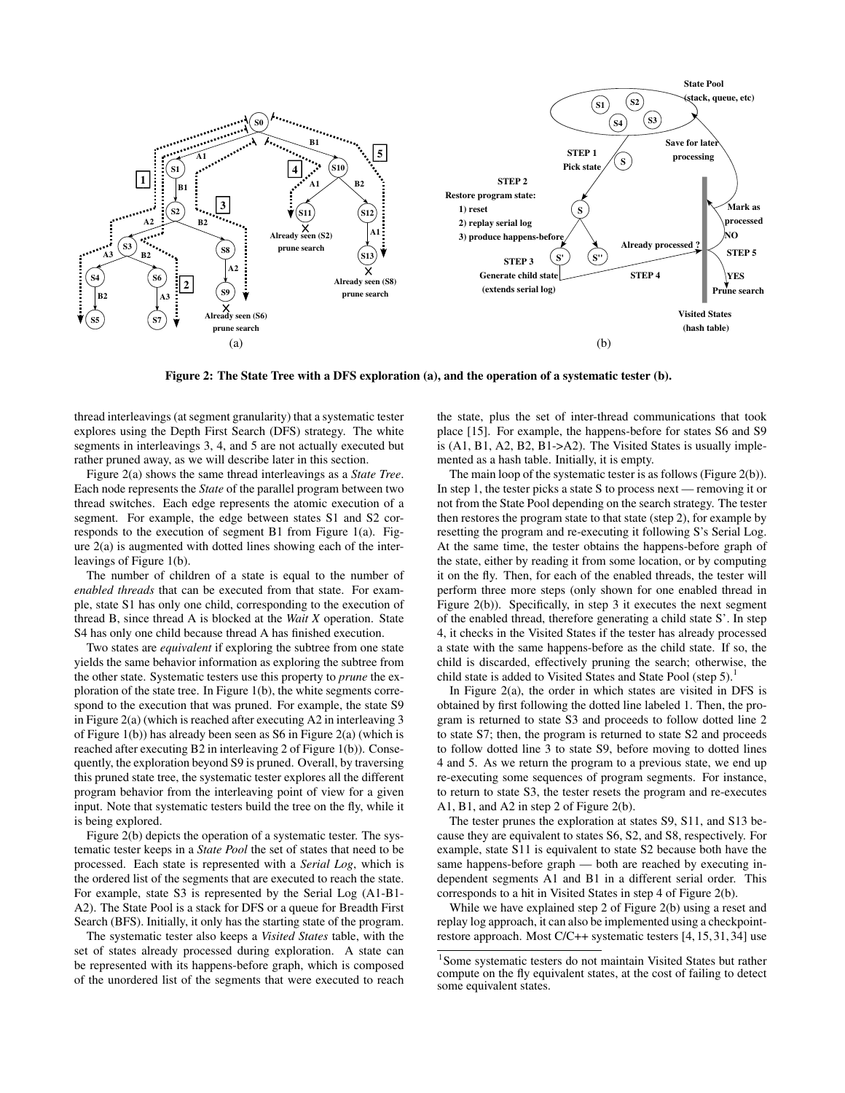

Figure 2: The State Tree with a DFS exploration (a), and the operation of a systematic tester (b).

thread interleavings (at segment granularity) that a systematic tester explores using the Depth First Search (DFS) strategy. The white segments in interleavings 3, 4, and 5 are not actually executed but rather pruned away, as we will describe later in this section.

Figure 2(a) shows the same thread interleavings as a *State Tree*. Each node represents the *State* of the parallel program between two thread switches. Each edge represents the atomic execution of a segment. For example, the edge between states S1 and S2 corresponds to the execution of segment B1 from Figure 1(a). Figure 2(a) is augmented with dotted lines showing each of the interleavings of Figure 1(b).

The number of children of a state is equal to the number of *enabled threads* that can be executed from that state. For example, state S1 has only one child, corresponding to the execution of thread B, since thread A is blocked at the *Wait X* operation. State S4 has only one child because thread A has finished execution.

Two states are *equivalent* if exploring the subtree from one state yields the same behavior information as exploring the subtree from the other state. Systematic testers use this property to *prune* the exploration of the state tree. In Figure 1(b), the white segments correspond to the execution that was pruned. For example, the state S9 in Figure 2(a) (which is reached after executing A2 in interleaving 3 of Figure 1(b)) has already been seen as S6 in Figure 2(a) (which is reached after executing B2 in interleaving 2 of Figure 1(b)). Consequently, the exploration beyond S9 is pruned. Overall, by traversing this pruned state tree, the systematic tester explores all the different program behavior from the interleaving point of view for a given input. Note that systematic testers build the tree on the fly, while it is being explored.

Figure 2(b) depicts the operation of a systematic tester. The systematic tester keeps in a *State Pool* the set of states that need to be processed. Each state is represented with a *Serial Log*, which is the ordered list of the segments that are executed to reach the state. For example, state S3 is represented by the Serial Log (A1-B1- A2). The State Pool is a stack for DFS or a queue for Breadth First Search (BFS). Initially, it only has the starting state of the program.

The systematic tester also keeps a *Visited States* table, with the set of states already processed during exploration. A state can be represented with its happens-before graph, which is composed of the unordered list of the segments that were executed to reach the state, plus the set of inter-thread communications that took place [15]. For example, the happens-before for states S6 and S9 is (A1, B1, A2, B2, B1->A2). The Visited States is usually implemented as a hash table. Initially, it is empty.

The main loop of the systematic tester is as follows (Figure 2(b)). In step 1, the tester picks a state S to process next — removing it or not from the State Pool depending on the search strategy. The tester then restores the program state to that state (step 2), for example by resetting the program and re-executing it following S's Serial Log. At the same time, the tester obtains the happens-before graph of the state, either by reading it from some location, or by computing it on the fly. Then, for each of the enabled threads, the tester will perform three more steps (only shown for one enabled thread in Figure 2(b)). Specifically, in step 3 it executes the next segment of the enabled thread, therefore generating a child state S'. In step 4, it checks in the Visited States if the tester has already processed a state with the same happens-before as the child state. If so, the child is discarded, effectively pruning the search; otherwise, the child state is added to Visited States and State Pool (step 5).<sup>1</sup>

In Figure 2(a), the order in which states are visited in DFS is obtained by first following the dotted line labeled 1. Then, the program is returned to state S3 and proceeds to follow dotted line 2 to state S7; then, the program is returned to state S2 and proceeds to follow dotted line 3 to state S9, before moving to dotted lines 4 and 5. As we return the program to a previous state, we end up re-executing some sequences of program segments. For instance, to return to state S3, the tester resets the program and re-executes A1, B1, and A2 in step 2 of Figure 2(b).

The tester prunes the exploration at states S9, S11, and S13 because they are equivalent to states S6, S2, and S8, respectively. For example, state S11 is equivalent to state S2 because both have the same happens-before graph — both are reached by executing independent segments A1 and B1 in a different serial order. This corresponds to a hit in Visited States in step 4 of Figure 2(b).

While we have explained step 2 of Figure 2(b) using a reset and replay log approach, it can also be implemented using a checkpointrestore approach. Most C/C++ systematic testers [4, 15, 31, 34] use

<sup>&</sup>lt;sup>1</sup>Some systematic testers do not maintain Visited States but rather compute on the fly equivalent states, at the cost of failing to detect some equivalent states.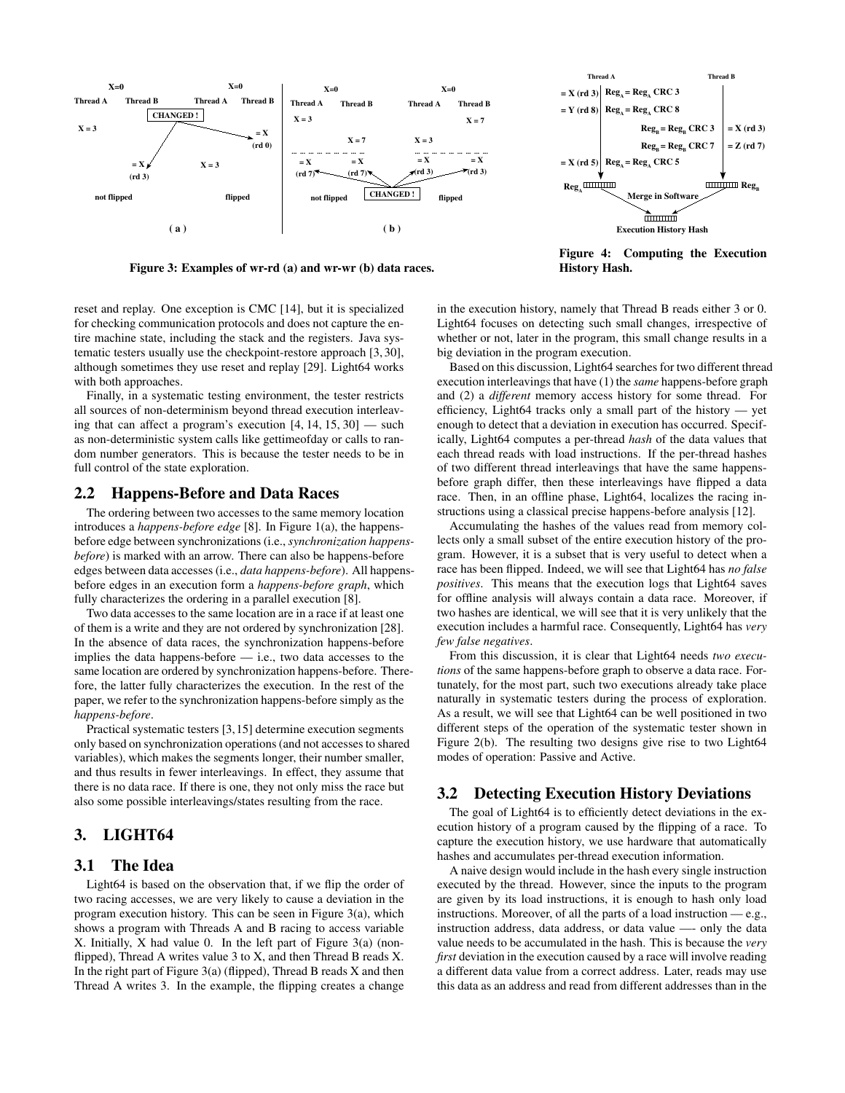

Thread A Thread B  $= X (rd 3) | Reg<sub>A</sub> = Reg<sub>A</sub> CRC 3$  $=$  Y (rd 8)  $Reg_A = Reg_A$  CRC 8  $=$  X (rd 3)  $Reg_B = Reg_B$  CRC 3  $= Z (rd 7)$  $Reg_B = Reg_B$  CRC 7  $=$  X (rd 5)  $Reg_A = Reg_A$  CRC 5 Reg. **IIIIIII**IIIII **HILLIAN Reg.** Merge in Software mm í Execution History Hash

Figure 3: Examples of wr-rd (a) and wr-wr (b) data races.

Figure 4: Computing the Execution History Hash.

reset and replay. One exception is CMC [14], but it is specialized for checking communication protocols and does not capture the entire machine state, including the stack and the registers. Java systematic testers usually use the checkpoint-restore approach [3, 30], although sometimes they use reset and replay [29]. Light64 works with both approaches.

Finally, in a systematic testing environment, the tester restricts all sources of non-determinism beyond thread execution interleaving that can affect a program's execution [4, 14, 15, 30] — such as non-deterministic system calls like gettimeofday or calls to random number generators. This is because the tester needs to be in full control of the state exploration.

#### 2.2 Happens-Before and Data Races

The ordering between two accesses to the same memory location introduces a *happens-before edge* [8]. In Figure 1(a), the happensbefore edge between synchronizations (i.e., *synchronization happensbefore*) is marked with an arrow. There can also be happens-before edges between data accesses (i.e., *data happens-before*). All happensbefore edges in an execution form a *happens-before graph*, which fully characterizes the ordering in a parallel execution [8].

Two data accesses to the same location are in a race if at least one of them is a write and they are not ordered by synchronization [28]. In the absence of data races, the synchronization happens-before implies the data happens-before — i.e., two data accesses to the same location are ordered by synchronization happens-before. Therefore, the latter fully characterizes the execution. In the rest of the paper, we refer to the synchronization happens-before simply as the *happens-before*.

Practical systematic testers [3,15] determine execution segments only based on synchronization operations (and not accesses to shared variables), which makes the segments longer, their number smaller, and thus results in fewer interleavings. In effect, they assume that there is no data race. If there is one, they not only miss the race but also some possible interleavings/states resulting from the race.

# 3. LIGHT64

## 3.1 The Idea

Light64 is based on the observation that, if we flip the order of two racing accesses, we are very likely to cause a deviation in the program execution history. This can be seen in Figure 3(a), which shows a program with Threads A and B racing to access variable X. Initially, X had value 0. In the left part of Figure 3(a) (nonflipped), Thread A writes value 3 to X, and then Thread B reads X. In the right part of Figure  $3(a)$  (flipped), Thread B reads X and then Thread A writes 3. In the example, the flipping creates a change

in the execution history, namely that Thread B reads either 3 or 0. Light64 focuses on detecting such small changes, irrespective of whether or not, later in the program, this small change results in a big deviation in the program execution.

Based on this discussion, Light64 searches for two different thread execution interleavings that have (1) the *same* happens-before graph and (2) a *different* memory access history for some thread. For efficiency, Light64 tracks only a small part of the history — yet enough to detect that a deviation in execution has occurred. Specifically, Light64 computes a per-thread *hash* of the data values that each thread reads with load instructions. If the per-thread hashes of two different thread interleavings that have the same happensbefore graph differ, then these interleavings have flipped a data race. Then, in an offline phase, Light64, localizes the racing instructions using a classical precise happens-before analysis [12].

Accumulating the hashes of the values read from memory collects only a small subset of the entire execution history of the program. However, it is a subset that is very useful to detect when a race has been flipped. Indeed, we will see that Light64 has *no false positives*. This means that the execution logs that Light64 saves for offline analysis will always contain a data race. Moreover, if two hashes are identical, we will see that it is very unlikely that the execution includes a harmful race. Consequently, Light64 has *very few false negatives*.

From this discussion, it is clear that Light64 needs *two executions* of the same happens-before graph to observe a data race. Fortunately, for the most part, such two executions already take place naturally in systematic testers during the process of exploration. As a result, we will see that Light64 can be well positioned in two different steps of the operation of the systematic tester shown in Figure 2(b). The resulting two designs give rise to two Light64 modes of operation: Passive and Active.

#### 3.2 Detecting Execution History Deviations

The goal of Light64 is to efficiently detect deviations in the execution history of a program caused by the flipping of a race. To capture the execution history, we use hardware that automatically hashes and accumulates per-thread execution information.

A naive design would include in the hash every single instruction executed by the thread. However, since the inputs to the program are given by its load instructions, it is enough to hash only load instructions. Moreover, of all the parts of a load instruction — e.g., instruction address, data address, or data value —- only the data value needs to be accumulated in the hash. This is because the *very first* deviation in the execution caused by a race will involve reading a different data value from a correct address. Later, reads may use this data as an address and read from different addresses than in the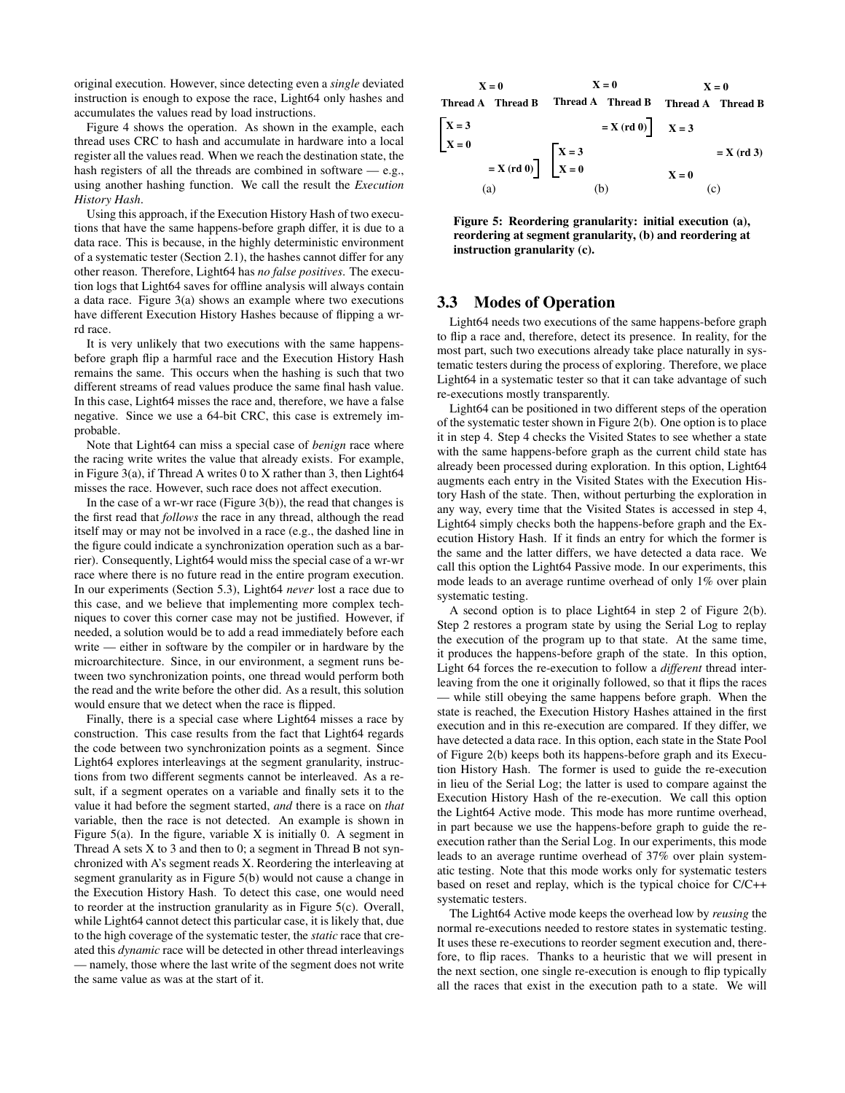original execution. However, since detecting even a *single* deviated instruction is enough to expose the race, Light64 only hashes and accumulates the values read by load instructions.

Figure 4 shows the operation. As shown in the example, each thread uses CRC to hash and accumulate in hardware into a local register all the values read. When we reach the destination state, the hash registers of all the threads are combined in software — e.g., using another hashing function. We call the result the *Execution History Hash*.

Using this approach, if the Execution History Hash of two executions that have the same happens-before graph differ, it is due to a data race. This is because, in the highly deterministic environment of a systematic tester (Section 2.1), the hashes cannot differ for any other reason. Therefore, Light64 has *no false positives*. The execution logs that Light64 saves for offline analysis will always contain a data race. Figure 3(a) shows an example where two executions have different Execution History Hashes because of flipping a wrrd race.

It is very unlikely that two executions with the same happensbefore graph flip a harmful race and the Execution History Hash remains the same. This occurs when the hashing is such that two different streams of read values produce the same final hash value. In this case, Light64 misses the race and, therefore, we have a false negative. Since we use a 64-bit CRC, this case is extremely improbable.

Note that Light64 can miss a special case of *benign* race where the racing write writes the value that already exists. For example, in Figure 3(a), if Thread A writes 0 to X rather than 3, then Light64 misses the race. However, such race does not affect execution.

In the case of a wr-wr race (Figure  $3(b)$ ), the read that changes is the first read that *follows* the race in any thread, although the read itself may or may not be involved in a race (e.g., the dashed line in the figure could indicate a synchronization operation such as a barrier). Consequently, Light64 would miss the special case of a wr-wr race where there is no future read in the entire program execution. In our experiments (Section 5.3), Light64 *never* lost a race due to this case, and we believe that implementing more complex techniques to cover this corner case may not be justified. However, if needed, a solution would be to add a read immediately before each write — either in software by the compiler or in hardware by the microarchitecture. Since, in our environment, a segment runs between two synchronization points, one thread would perform both the read and the write before the other did. As a result, this solution would ensure that we detect when the race is flipped.

Finally, there is a special case where Light64 misses a race by construction. This case results from the fact that Light64 regards the code between two synchronization points as a segment. Since Light64 explores interleavings at the segment granularity, instructions from two different segments cannot be interleaved. As a result, if a segment operates on a variable and finally sets it to the value it had before the segment started, *and* there is a race on *that* variable, then the race is not detected. An example is shown in Figure  $5(a)$ . In the figure, variable X is initially 0. A segment in Thread A sets  $X$  to 3 and then to 0; a segment in Thread B not synchronized with A's segment reads X. Reordering the interleaving at segment granularity as in Figure 5(b) would not cause a change in the Execution History Hash. To detect this case, one would need to reorder at the instruction granularity as in Figure 5(c). Overall, while Light64 cannot detect this particular case, it is likely that, due to the high coverage of the systematic tester, the *static* race that created this *dynamic* race will be detected in other thread interleavings — namely, those where the last write of the segment does not write the same value as was at the start of it.



Figure 5: Reordering granularity: initial execution (a), reordering at segment granularity, (b) and reordering at instruction granularity (c).

# 3.3 Modes of Operation

Light64 needs two executions of the same happens-before graph to flip a race and, therefore, detect its presence. In reality, for the most part, such two executions already take place naturally in systematic testers during the process of exploring. Therefore, we place Light64 in a systematic tester so that it can take advantage of such re-executions mostly transparently.

Light64 can be positioned in two different steps of the operation of the systematic tester shown in Figure 2(b). One option is to place it in step 4. Step 4 checks the Visited States to see whether a state with the same happens-before graph as the current child state has already been processed during exploration. In this option, Light64 augments each entry in the Visited States with the Execution History Hash of the state. Then, without perturbing the exploration in any way, every time that the Visited States is accessed in step 4, Light64 simply checks both the happens-before graph and the Execution History Hash. If it finds an entry for which the former is the same and the latter differs, we have detected a data race. We call this option the Light64 Passive mode. In our experiments, this mode leads to an average runtime overhead of only 1% over plain systematic testing.

A second option is to place Light64 in step 2 of Figure 2(b). Step 2 restores a program state by using the Serial Log to replay the execution of the program up to that state. At the same time, it produces the happens-before graph of the state. In this option, Light 64 forces the re-execution to follow a *different* thread interleaving from the one it originally followed, so that it flips the races — while still obeying the same happens before graph. When the state is reached, the Execution History Hashes attained in the first execution and in this re-execution are compared. If they differ, we have detected a data race. In this option, each state in the State Pool of Figure 2(b) keeps both its happens-before graph and its Execution History Hash. The former is used to guide the re-execution in lieu of the Serial Log; the latter is used to compare against the Execution History Hash of the re-execution. We call this option the Light64 Active mode. This mode has more runtime overhead, in part because we use the happens-before graph to guide the reexecution rather than the Serial Log. In our experiments, this mode leads to an average runtime overhead of 37% over plain systematic testing. Note that this mode works only for systematic testers based on reset and replay, which is the typical choice for C/C++ systematic testers.

The Light64 Active mode keeps the overhead low by *reusing* the normal re-executions needed to restore states in systematic testing. It uses these re-executions to reorder segment execution and, therefore, to flip races. Thanks to a heuristic that we will present in the next section, one single re-execution is enough to flip typically all the races that exist in the execution path to a state. We will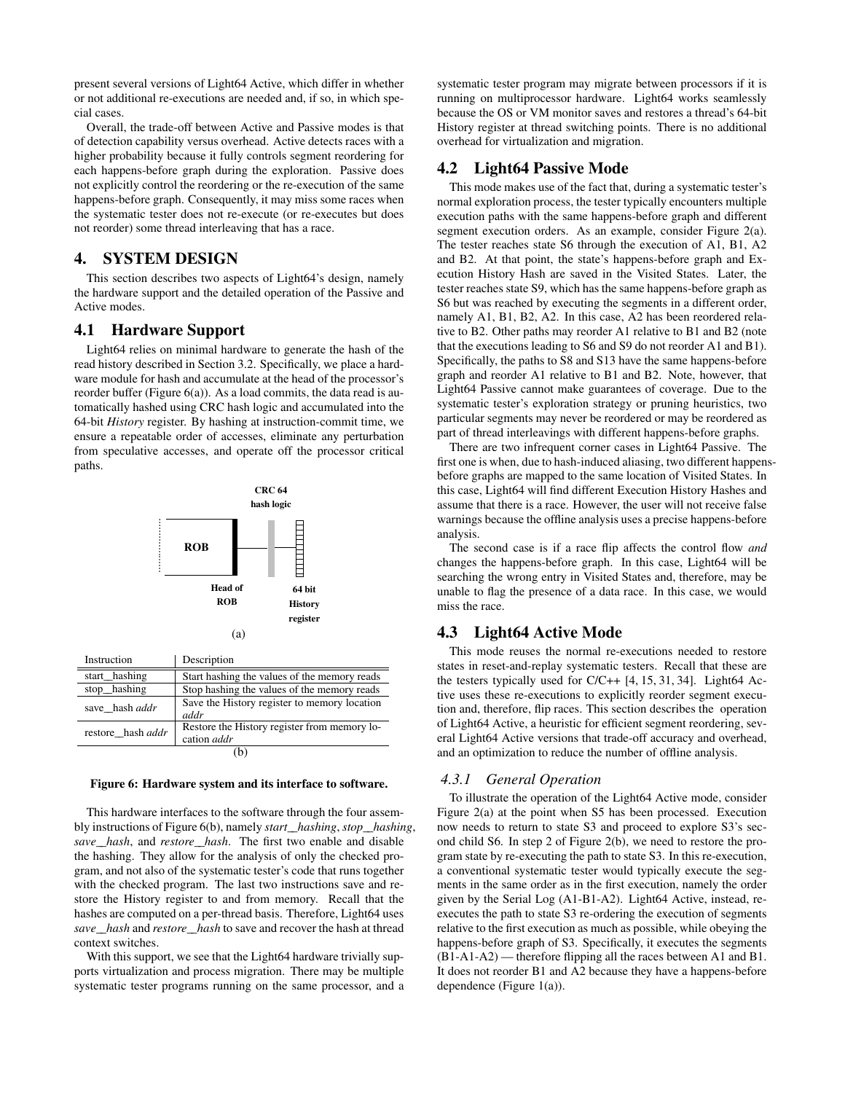present several versions of Light64 Active, which differ in whether or not additional re-executions are needed and, if so, in which special cases.

Overall, the trade-off between Active and Passive modes is that of detection capability versus overhead. Active detects races with a higher probability because it fully controls segment reordering for each happens-before graph during the exploration. Passive does not explicitly control the reordering or the re-execution of the same happens-before graph. Consequently, it may miss some races when the systematic tester does not re-execute (or re-executes but does not reorder) some thread interleaving that has a race.

# 4. SYSTEM DESIGN

This section describes two aspects of Light64's design, namely the hardware support and the detailed operation of the Passive and Active modes.

#### 4.1 Hardware Support

Light64 relies on minimal hardware to generate the hash of the read history described in Section 3.2. Specifically, we place a hardware module for hash and accumulate at the head of the processor's reorder buffer (Figure  $6(a)$ ). As a load commits, the data read is automatically hashed using CRC hash logic and accumulated into the 64-bit *History* register. By hashing at instruction-commit time, we ensure a repeatable order of accesses, eliminate any perturbation from speculative accesses, and operate off the processor critical paths.



| Instruction       | Description                                                        |  |  |  |  |
|-------------------|--------------------------------------------------------------------|--|--|--|--|
| start_hashing     | Start hashing the values of the memory reads                       |  |  |  |  |
| stop_hashing      | Stop hashing the values of the memory reads                        |  |  |  |  |
| save hash addr    | Save the History register to memory location<br>addr               |  |  |  |  |
| restore_hash addr | Restore the History register from memory lo-<br>cation <i>addr</i> |  |  |  |  |
| ٠b٠               |                                                                    |  |  |  |  |

#### Figure 6: Hardware system and its interface to software.

This hardware interfaces to the software through the four assembly instructions of Figure 6(b), namely *start\_\_hashing*, *stop\_\_hashing*, *save\_\_hash*, and *restore\_\_hash*. The first two enable and disable the hashing. They allow for the analysis of only the checked program, and not also of the systematic tester's code that runs together with the checked program. The last two instructions save and restore the History register to and from memory. Recall that the hashes are computed on a per-thread basis. Therefore, Light64 uses *save\_\_hash* and *restore\_\_hash* to save and recover the hash at thread context switches.

With this support, we see that the Light64 hardware trivially supports virtualization and process migration. There may be multiple systematic tester programs running on the same processor, and a

systematic tester program may migrate between processors if it is running on multiprocessor hardware. Light64 works seamlessly because the OS or VM monitor saves and restores a thread's 64-bit History register at thread switching points. There is no additional overhead for virtualization and migration.

## 4.2 Light64 Passive Mode

This mode makes use of the fact that, during a systematic tester's normal exploration process, the tester typically encounters multiple execution paths with the same happens-before graph and different segment execution orders. As an example, consider Figure 2(a). The tester reaches state S6 through the execution of A1, B1, A2 and B2. At that point, the state's happens-before graph and Execution History Hash are saved in the Visited States. Later, the tester reaches state S9, which has the same happens-before graph as S6 but was reached by executing the segments in a different order, namely A1, B1, B2, A2. In this case, A2 has been reordered relative to B2. Other paths may reorder A1 relative to B1 and B2 (note that the executions leading to S6 and S9 do not reorder A1 and B1). Specifically, the paths to S8 and S13 have the same happens-before graph and reorder A1 relative to B1 and B2. Note, however, that Light64 Passive cannot make guarantees of coverage. Due to the systematic tester's exploration strategy or pruning heuristics, two particular segments may never be reordered or may be reordered as part of thread interleavings with different happens-before graphs.

There are two infrequent corner cases in Light64 Passive. The first one is when, due to hash-induced aliasing, two different happensbefore graphs are mapped to the same location of Visited States. In this case, Light64 will find different Execution History Hashes and assume that there is a race. However, the user will not receive false warnings because the offline analysis uses a precise happens-before analysis.

The second case is if a race flip affects the control flow *and* changes the happens-before graph. In this case, Light64 will be searching the wrong entry in Visited States and, therefore, may be unable to flag the presence of a data race. In this case, we would miss the race.

#### 4.3 Light64 Active Mode

This mode reuses the normal re-executions needed to restore states in reset-and-replay systematic testers. Recall that these are the testers typically used for  $C/C++$  [4, 15, 31, 34]. Light64 Active uses these re-executions to explicitly reorder segment execution and, therefore, flip races. This section describes the operation of Light64 Active, a heuristic for efficient segment reordering, several Light64 Active versions that trade-off accuracy and overhead, and an optimization to reduce the number of offline analysis.

#### *4.3.1 General Operation*

To illustrate the operation of the Light64 Active mode, consider Figure 2(a) at the point when S5 has been processed. Execution now needs to return to state S3 and proceed to explore S3's second child S6. In step 2 of Figure 2(b), we need to restore the program state by re-executing the path to state S3. In this re-execution, a conventional systematic tester would typically execute the segments in the same order as in the first execution, namely the order given by the Serial Log (A1-B1-A2). Light64 Active, instead, reexecutes the path to state S3 re-ordering the execution of segments relative to the first execution as much as possible, while obeying the happens-before graph of S3. Specifically, it executes the segments (B1-A1-A2) — therefore flipping all the races between A1 and B1. It does not reorder B1 and A2 because they have a happens-before dependence (Figure 1(a)).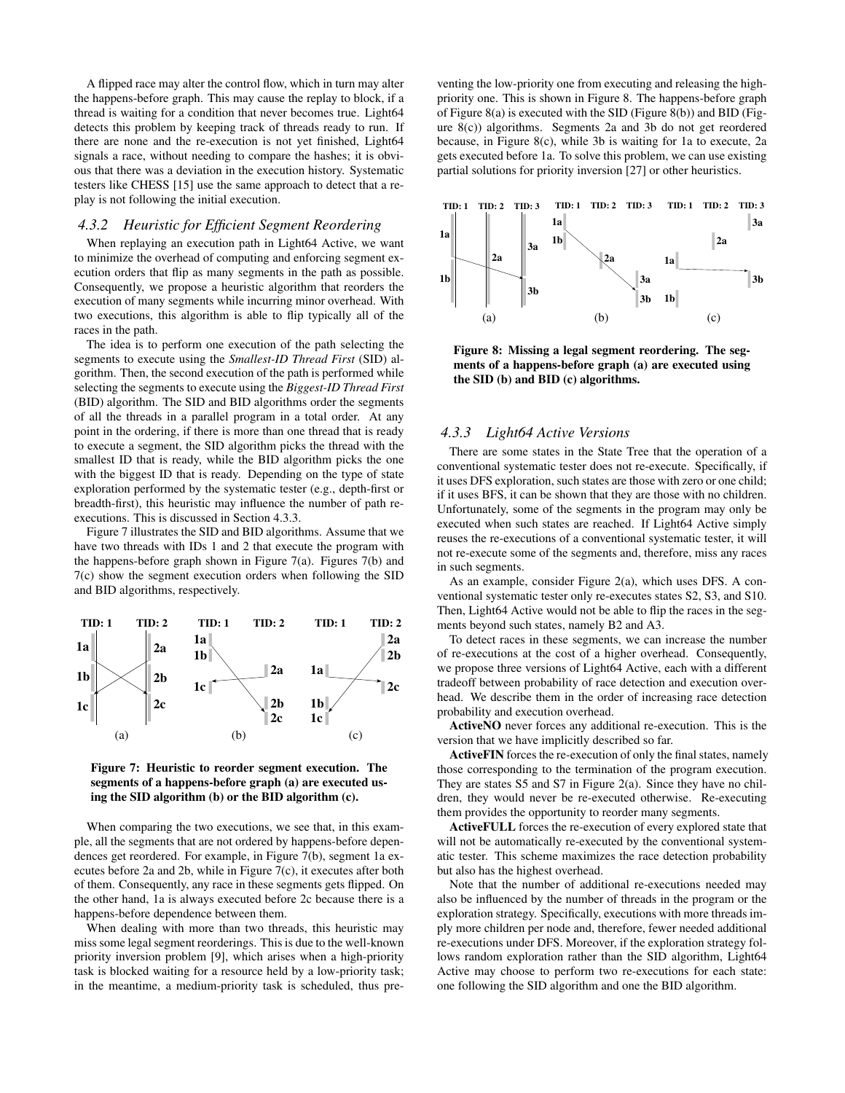A flipped race may alter the control flow, which in turn may alter the happens-before graph. This may cause the replay to block, if a thread is waiting for a condition that never becomes true. Light64 detects this problem by keeping track of threads ready to run. If there are none and the re-execution is not yet finished, Light64 signals a race, without needing to compare the hashes; it is obvious that there was a deviation in the execution history. Systematic testers like CHESS [15] use the same approach to detect that a replay is not following the initial execution.

#### *4.3.2 Heuristic for Efficient Segment Reordering*

When replaying an execution path in Light64 Active, we want to minimize the overhead of computing and enforcing segment execution orders that flip as many segments in the path as possible. Consequently, we propose a heuristic algorithm that reorders the execution of many segments while incurring minor overhead. With two executions, this algorithm is able to flip typically all of the races in the path.

The idea is to perform one execution of the path selecting the segments to execute using the *Smallest-ID Thread First* (SID) algorithm. Then, the second execution of the path is performed while selecting the segments to execute using the *Biggest-ID Thread First* (BID) algorithm. The SID and BID algorithms order the segments of all the threads in a parallel program in a total order. At any point in the ordering, if there is more than one thread that is ready to execute a segment, the SID algorithm picks the thread with the smallest ID that is ready, while the BID algorithm picks the one with the biggest ID that is ready. Depending on the type of state exploration performed by the systematic tester (e.g., depth-first or breadth-first), this heuristic may influence the number of path reexecutions. This is discussed in Section 4.3.3.

Figure 7 illustrates the SID and BID algorithms. Assume that we have two threads with IDs 1 and 2 that execute the program with the happens-before graph shown in Figure  $7(a)$ . Figures  $7(b)$  and 7(c) show the segment execution orders when following the SID and BID algorithms, respectively.





When comparing the two executions, we see that, in this example, all the segments that are not ordered by happens-before dependences get reordered. For example, in Figure 7(b), segment 1a executes before 2a and 2b, while in Figure 7(c), it executes after both of them. Consequently, any race in these segments gets flipped. On the other hand, 1a is always executed before 2c because there is a happens-before dependence between them.

When dealing with more than two threads, this heuristic may miss some legal segment reorderings. This is due to the well-known priority inversion problem [9], which arises when a high-priority task is blocked waiting for a resource held by a low-priority task; in the meantime, a medium-priority task is scheduled, thus preventing the low-priority one from executing and releasing the highpriority one. This is shown in Figure 8. The happens-before graph of Figure  $8(a)$  is executed with the SID (Figure  $8(b)$ ) and BID (Figure 8(c)) algorithms. Segments 2a and 3b do not get reordered because, in Figure 8(c), while 3b is waiting for 1a to execute, 2a gets executed before 1a. To solve this problem, we can use existing partial solutions for priority inversion [27] or other heuristics.



Figure 8: Missing a legal segment reordering. The segments of a happens-before graph (a) are executed using the SID (b) and BID (c) algorithms.

#### *4.3.3 Light64 Active Versions*

There are some states in the State Tree that the operation of a conventional systematic tester does not re-execute. Specifically, if it uses DFS exploration, such states are those with zero or one child; if it uses BFS, it can be shown that they are those with no children. Unfortunately, some of the segments in the program may only be executed when such states are reached. If Light64 Active simply reuses the re-executions of a conventional systematic tester, it will not re-execute some of the segments and, therefore, miss any races in such segments.

As an example, consider Figure 2(a), which uses DFS. A conventional systematic tester only re-executes states S2, S3, and S10. Then, Light64 Active would not be able to flip the races in the segments beyond such states, namely B2 and A3.

To detect races in these segments, we can increase the number of re-executions at the cost of a higher overhead. Consequently, we propose three versions of Light64 Active, each with a different tradeoff between probability of race detection and execution overhead. We describe them in the order of increasing race detection probability and execution overhead.

ActiveNO never forces any additional re-execution. This is the version that we have implicitly described so far.

ActiveFIN forces the re-execution of only the final states, namely those corresponding to the termination of the program execution. They are states S5 and S7 in Figure 2(a). Since they have no children, they would never be re-executed otherwise. Re-executing them provides the opportunity to reorder many segments.

ActiveFULL forces the re-execution of every explored state that will not be automatically re-executed by the conventional systematic tester. This scheme maximizes the race detection probability but also has the highest overhead.

Note that the number of additional re-executions needed may also be influenced by the number of threads in the program or the exploration strategy. Specifically, executions with more threads imply more children per node and, therefore, fewer needed additional re-executions under DFS. Moreover, if the exploration strategy follows random exploration rather than the SID algorithm, Light64 Active may choose to perform two re-executions for each state: one following the SID algorithm and one the BID algorithm.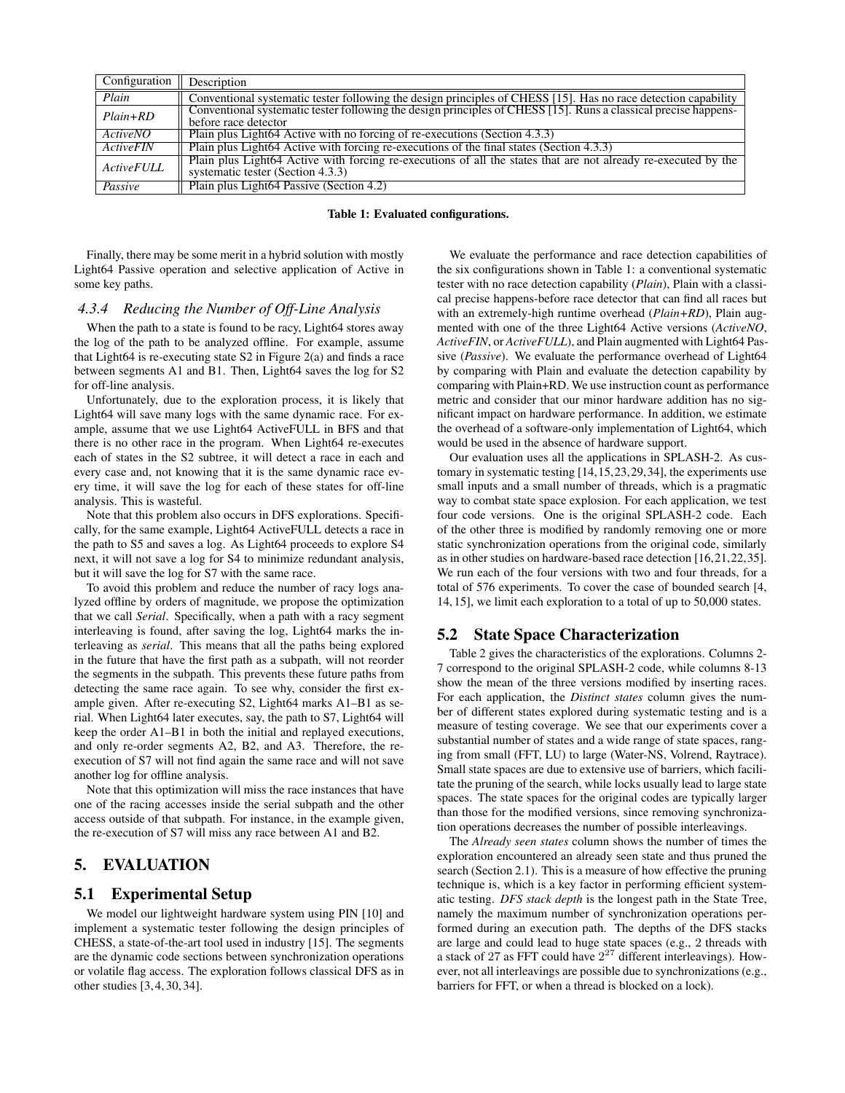| Configuration $\parallel$ Description |                                                                                                                                                     |
|---------------------------------------|-----------------------------------------------------------------------------------------------------------------------------------------------------|
| Plain                                 | Conventional systematic tester following the design principles of CHESS [15]. Has no race detection capability                                      |
| $Plain+RD$                            | Conventional systematic tester following the design principles of CHESS [15]. Runs a classical precise happens-<br>before race detector             |
| <b>ActiveNO</b>                       | Plain plus Light64 Active with no forcing of re-executions (Section 4.3.3)                                                                          |
| Action                                | Plain plus Light64 Active with forcing re-executions of the final states (Section 4.3.3)                                                            |
| <b>ActiveFULL</b>                     | Plain plus Light64 Active with forcing re-executions of all the states that are not already re-executed by the<br>systematic tester (Section 4.3.3) |
| Passive                               | Plain plus Light64 Passive (Section 4.2)                                                                                                            |

Table 1: Evaluated configurations.

Finally, there may be some merit in a hybrid solution with mostly Light64 Passive operation and selective application of Active in some key paths.

#### *4.3.4 Reducing the Number of Off-Line Analysis*

When the path to a state is found to be racy, Light64 stores away the log of the path to be analyzed offline. For example, assume that Light64 is re-executing state S2 in Figure 2(a) and finds a race between segments A1 and B1. Then, Light64 saves the log for S2 for off-line analysis.

Unfortunately, due to the exploration process, it is likely that Light64 will save many logs with the same dynamic race. For example, assume that we use Light64 ActiveFULL in BFS and that there is no other race in the program. When Light64 re-executes each of states in the S2 subtree, it will detect a race in each and every case and, not knowing that it is the same dynamic race every time, it will save the log for each of these states for off-line analysis. This is wasteful.

Note that this problem also occurs in DFS explorations. Specifically, for the same example, Light64 ActiveFULL detects a race in the path to S5 and saves a log. As Light64 proceeds to explore S4 next, it will not save a log for S4 to minimize redundant analysis, but it will save the log for S7 with the same race.

To avoid this problem and reduce the number of racy logs analyzed offline by orders of magnitude, we propose the optimization that we call *Serial*. Specifically, when a path with a racy segment interleaving is found, after saving the log, Light64 marks the interleaving as *serial*. This means that all the paths being explored in the future that have the first path as a subpath, will not reorder the segments in the subpath. This prevents these future paths from detecting the same race again. To see why, consider the first example given. After re-executing S2, Light64 marks A1–B1 as serial. When Light64 later executes, say, the path to S7, Light64 will keep the order A1–B1 in both the initial and replayed executions, and only re-order segments A2, B2, and A3. Therefore, the reexecution of S7 will not find again the same race and will not save another log for offline analysis.

Note that this optimization will miss the race instances that have one of the racing accesses inside the serial subpath and the other access outside of that subpath. For instance, in the example given, the re-execution of S7 will miss any race between A1 and B2.

# 5. EVALUATION

## 5.1 Experimental Setup

We model our lightweight hardware system using PIN [10] and implement a systematic tester following the design principles of CHESS, a state-of-the-art tool used in industry [15]. The segments are the dynamic code sections between synchronization operations or volatile flag access. The exploration follows classical DFS as in other studies [3, 4, 30, 34].

We evaluate the performance and race detection capabilities of the six configurations shown in Table 1: a conventional systematic tester with no race detection capability (*Plain*), Plain with a classical precise happens-before race detector that can find all races but with an extremely-high runtime overhead (*Plain+RD*), Plain augmented with one of the three Light64 Active versions (*ActiveNO*, *ActiveFIN*, or *ActiveFULL*), and Plain augmented with Light64 Passive (*Passive*). We evaluate the performance overhead of Light64 by comparing with Plain and evaluate the detection capability by comparing with Plain+RD. We use instruction count as performance metric and consider that our minor hardware addition has no significant impact on hardware performance. In addition, we estimate the overhead of a software-only implementation of Light64, which would be used in the absence of hardware support.

Our evaluation uses all the applications in SPLASH-2. As customary in systematic testing [14,15,23,29,34], the experiments use small inputs and a small number of threads, which is a pragmatic way to combat state space explosion. For each application, we test four code versions. One is the original SPLASH-2 code. Each of the other three is modified by randomly removing one or more static synchronization operations from the original code, similarly as in other studies on hardware-based race detection [16,21,22,35]. We run each of the four versions with two and four threads, for a total of 576 experiments. To cover the case of bounded search [4, 14, 15], we limit each exploration to a total of up to 50,000 states.

#### 5.2 State Space Characterization

Table 2 gives the characteristics of the explorations. Columns 2- 7 correspond to the original SPLASH-2 code, while columns 8-13 show the mean of the three versions modified by inserting races. For each application, the *Distinct states* column gives the number of different states explored during systematic testing and is a measure of testing coverage. We see that our experiments cover a substantial number of states and a wide range of state spaces, ranging from small (FFT, LU) to large (Water-NS, Volrend, Raytrace). Small state spaces are due to extensive use of barriers, which facilitate the pruning of the search, while locks usually lead to large state spaces. The state spaces for the original codes are typically larger than those for the modified versions, since removing synchronization operations decreases the number of possible interleavings.

The *Already seen states* column shows the number of times the exploration encountered an already seen state and thus pruned the search (Section 2.1). This is a measure of how effective the pruning technique is, which is a key factor in performing efficient systematic testing. *DFS stack depth* is the longest path in the State Tree, namely the maximum number of synchronization operations performed during an execution path. The depths of the DFS stacks are large and could lead to huge state spaces (e.g., 2 threads with a stack of 27 as FFT could have  $2^{27}$  different interleavings). However, not all interleavings are possible due to synchronizations (e.g., barriers for FFT, or when a thread is blocked on a lock).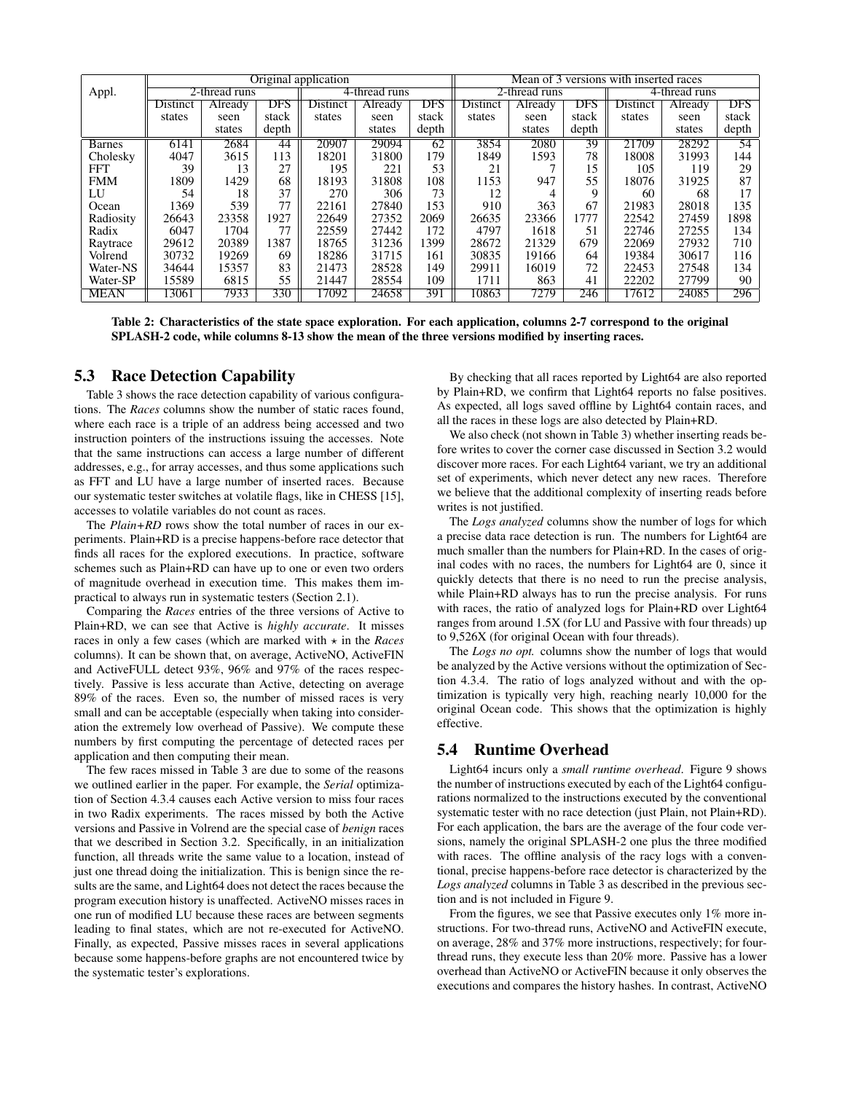|                | Original application |               |       |               |                |       |               | Mean of 3 versions with inserted races |       |               |                |       |  |  |
|----------------|----------------------|---------------|-------|---------------|----------------|-------|---------------|----------------------------------------|-------|---------------|----------------|-------|--|--|
| Appl.          |                      | 2-thread runs |       | 4-thread runs |                |       | 2-thread runs |                                        |       | 4-thread runs |                |       |  |  |
|                | Distinct             | Already       | DFS   | Distinct      | <b>Already</b> | DFS   | Distinct      | <b>Already</b>                         | DFS   | Distinct      | <b>Already</b> | DFS   |  |  |
|                | states               | seen          | stack | states        | seen           | stack | states        | seen                                   | stack | states        | seen           | stack |  |  |
|                |                      | states        | depth |               | states         | depth |               | states                                 | depth |               | states         | depth |  |  |
| <b>B</b> arnes | 6141                 | 2684          | 44    | 20907         | 29094          | 62    | 3854          | 2080                                   | 39    | 21709         | 28292          | 54    |  |  |
| Cholesky       | 4047                 | 3615          | 113   | 18201         | 31800          | 179   | 1849          | 1593                                   | 78    | 18008         | 31993          | 144   |  |  |
| <b>FFT</b>     | 39                   | 13            | 27    | 195           | 221            | 53    | 21            |                                        | 15    | 105           | 119            | 29    |  |  |
| <b>FMM</b>     | 1809                 | 1429          | 68    | 18193         | 31808          | 108   | 1153          | 947                                    | 55    | 18076         | 31925          | 87    |  |  |
| LU             | 54                   | 18            | 37    | 270           | 306            | 73    | 12            |                                        | 9     | 60            | 68             | 17    |  |  |
| Ocean          | 1369                 | 539           | 77    | 22161         | 27840          | 153   | 910           | 363                                    | 67    | 21983         | 28018          | 135   |  |  |
| Radiosity      | 26643                | 23358         | 1927  | 22649         | 27352          | 2069  | 26635         | 23366                                  | 1777  | 22542         | 27459          | 1898  |  |  |
| Radix          | 6047                 | 1704          | 77    | 22559         | 27442          | 172   | 4797          | 1618                                   | 51    | 22746         | 27255          | 134   |  |  |
| Raytrace       | 29612                | 20389         | 1387  | 18765         | 31236          | 1399  | 28672         | 21329                                  | 679   | 22069         | 27932          | 710   |  |  |
| Volrend        | 30732                | 19269         | 69    | 18286         | 31715          | 161   | 30835         | 19166                                  | 64    | 19384         | 30617          | 116   |  |  |
| Water-NS       | 34644                | 15357         | 83    | 21473         | 28528          | 149   | 29911         | 16019                                  | 72    | 22453         | 27548          | 134   |  |  |
| Water-SP       | 15589                | 6815          | 55    | 21447         | 28554          | 109   | 1711          | 863                                    | 41    | 22202         | 27799          | 90    |  |  |
| <b>MEAN</b>    | 13061                | 7933          | 330   | 17092         | 24658          | 391   | 10863         | 7279                                   | 246   | 17612         | 24085          | 296   |  |  |

Table 2: Characteristics of the state space exploration. For each application, columns 2-7 correspond to the original SPLASH-2 code, while columns 8-13 show the mean of the three versions modified by inserting races.

#### 5.3 Race Detection Capability

Table 3 shows the race detection capability of various configurations. The *Races* columns show the number of static races found, where each race is a triple of an address being accessed and two instruction pointers of the instructions issuing the accesses. Note that the same instructions can access a large number of different addresses, e.g., for array accesses, and thus some applications such as FFT and LU have a large number of inserted races. Because our systematic tester switches at volatile flags, like in CHESS [15], accesses to volatile variables do not count as races.

The *Plain+RD* rows show the total number of races in our experiments. Plain+RD is a precise happens-before race detector that finds all races for the explored executions. In practice, software schemes such as Plain+RD can have up to one or even two orders of magnitude overhead in execution time. This makes them impractical to always run in systematic testers (Section 2.1).

Comparing the *Races* entries of the three versions of Active to Plain+RD, we can see that Active is *highly accurate*. It misses races in only a few cases (which are marked with  $\star$  in the *Races* columns). It can be shown that, on average, ActiveNO, ActiveFIN and ActiveFULL detect 93%, 96% and 97% of the races respectively. Passive is less accurate than Active, detecting on average 89% of the races. Even so, the number of missed races is very small and can be acceptable (especially when taking into consideration the extremely low overhead of Passive). We compute these numbers by first computing the percentage of detected races per application and then computing their mean.

The few races missed in Table 3 are due to some of the reasons we outlined earlier in the paper. For example, the *Serial* optimization of Section 4.3.4 causes each Active version to miss four races in two Radix experiments. The races missed by both the Active versions and Passive in Volrend are the special case of *benign* races that we described in Section 3.2. Specifically, in an initialization function, all threads write the same value to a location, instead of just one thread doing the initialization. This is benign since the results are the same, and Light64 does not detect the races because the program execution history is unaffected. ActiveNO misses races in one run of modified LU because these races are between segments leading to final states, which are not re-executed for ActiveNO. Finally, as expected, Passive misses races in several applications because some happens-before graphs are not encountered twice by the systematic tester's explorations.

By checking that all races reported by Light64 are also reported by Plain+RD, we confirm that Light64 reports no false positives. As expected, all logs saved offline by Light64 contain races, and all the races in these logs are also detected by Plain+RD.

We also check (not shown in Table 3) whether inserting reads before writes to cover the corner case discussed in Section 3.2 would discover more races. For each Light64 variant, we try an additional set of experiments, which never detect any new races. Therefore we believe that the additional complexity of inserting reads before writes is not justified.

The *Logs analyzed* columns show the number of logs for which a precise data race detection is run. The numbers for Light64 are much smaller than the numbers for Plain+RD. In the cases of original codes with no races, the numbers for Light64 are 0, since it quickly detects that there is no need to run the precise analysis, while Plain+RD always has to run the precise analysis. For runs with races, the ratio of analyzed logs for Plain+RD over Light64 ranges from around 1.5X (for LU and Passive with four threads) up to 9,526X (for original Ocean with four threads).

The *Logs no opt.* columns show the number of logs that would be analyzed by the Active versions without the optimization of Section 4.3.4. The ratio of logs analyzed without and with the optimization is typically very high, reaching nearly 10,000 for the original Ocean code. This shows that the optimization is highly effective.

#### 5.4 Runtime Overhead

Light64 incurs only a *small runtime overhead*. Figure 9 shows the number of instructions executed by each of the Light64 configurations normalized to the instructions executed by the conventional systematic tester with no race detection (just Plain, not Plain+RD). For each application, the bars are the average of the four code versions, namely the original SPLASH-2 one plus the three modified with races. The offline analysis of the racy logs with a conventional, precise happens-before race detector is characterized by the *Logs analyzed* columns in Table 3 as described in the previous section and is not included in Figure 9.

From the figures, we see that Passive executes only 1% more instructions. For two-thread runs, ActiveNO and ActiveFIN execute, on average, 28% and 37% more instructions, respectively; for fourthread runs, they execute less than 20% more. Passive has a lower overhead than ActiveNO or ActiveFIN because it only observes the executions and compares the history hashes. In contrast, ActiveNO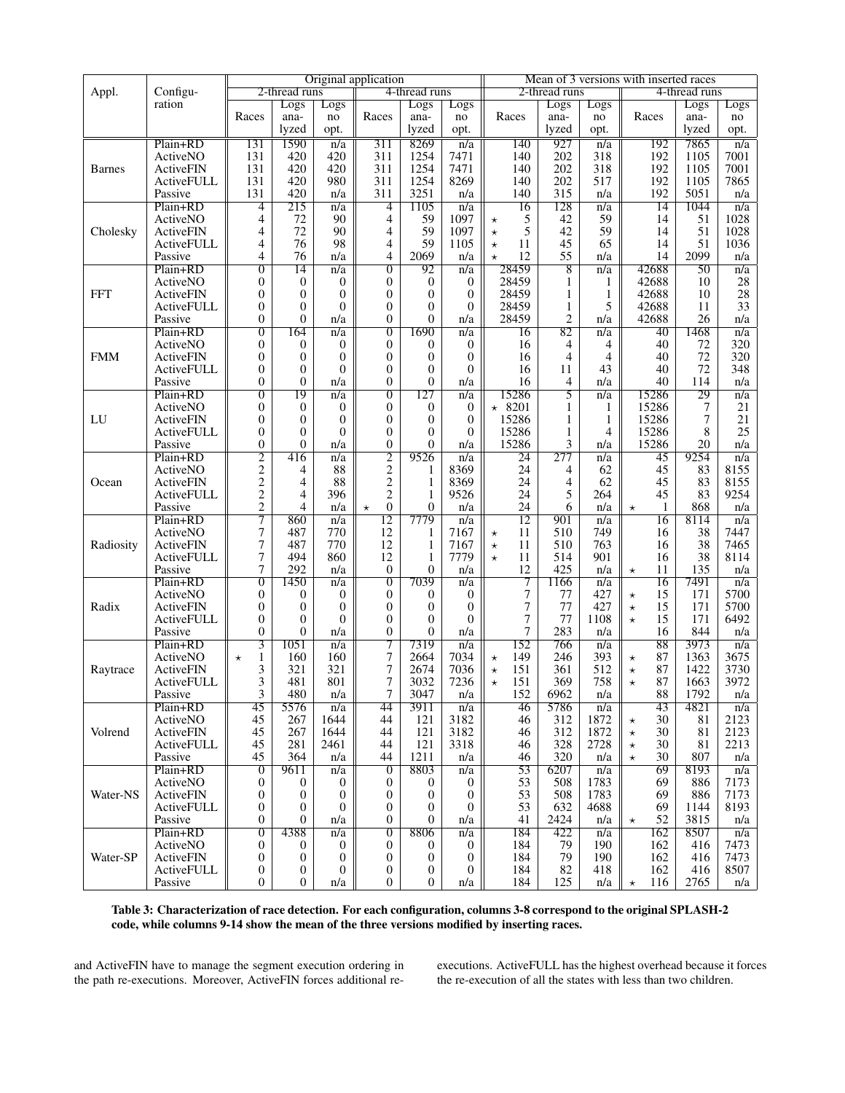|               |                   | Original application |                  |                  |                           |                  |                  | Mean of 3 versions with inserted races |                |                  |                 |       |                  |
|---------------|-------------------|----------------------|------------------|------------------|---------------------------|------------------|------------------|----------------------------------------|----------------|------------------|-----------------|-------|------------------|
| Appl.         | Configu-          |                      | 2-thread runs    |                  | 4-thread runs             |                  |                  | 2-thread runs                          |                |                  | 4-thread runs   |       |                  |
|               | ration            |                      | Logs             | Logs             |                           | Logs             | Logs             |                                        | Logs           | Logs             |                 | Logs  | Logs             |
|               |                   | Races                | ana-             | no               | Races                     | ana-             | no               | Races                                  | ana-           | no               | Races           | ana-  | no               |
|               |                   |                      | lyzed            | opt.             |                           | lyzed            | opt.             |                                        | lyzed          | opt.             |                 | lyzed | opt.             |
|               | Plain+RD          | 131                  | 1590             | n/a              | $\overline{311}$          | 8269             | n/a              | 140                                    | 927            | n/a              | 192             | 7865  | n/a              |
|               |                   |                      |                  |                  |                           |                  |                  |                                        |                |                  |                 |       |                  |
|               | ActiveNO          | 131                  | 420              | 420              | 311                       | 1254             | 7471             | 140                                    | 202            | 318              | 192             | 1105  | 7001             |
| <b>Barnes</b> | ActiveFIN         | 131                  | 420              | 420              | 311                       | 1254             | 7471             | 140                                    | 202            | 318              | 192             | 1105  | 7001             |
|               | ActiveFULL        | 131                  | 420              | 980              | 311                       | 1254             | 8269             | 140                                    | 202            | 517              | 192             | 1105  | 7865             |
|               | Passive           | 131                  | 420              | n/a              | 311                       | 3251             | n/a              | 140                                    | 315            | n/a              | 192             | 5051  | n/a              |
|               | Plain+RD          | 4                    | 215              | n/a              | $\overline{4}$            | 1105             | n/a              | 16                                     | 128            | n/a              | 14              | 1044  | n/a              |
|               | ActiveNO          | 4                    | 72               | 90               | 4                         | 59               | 1097             | 5<br>$\star$                           | 42             | 59               | 14              | 51    | 1028             |
| Cholesky      | ActiveFIN         | $\overline{4}$       | 72               | 90               | 4                         | 59               | 1097             | 5<br>$^\star$                          | 42             | 59               | 14              | 51    | 1028             |
|               | ActiveFULL        | $\overline{4}$       | 76               | 98               | 4                         | 59               | 1105             | 11<br>$\star$                          | 45             | 65               | 14              | 51    | 1036             |
|               | Passive           | 4                    | 76               | n/a              | 4                         | 2069             | n/a              | 12<br>$\star$                          | 55             | n/a              | 14              | 2099  | n/a              |
|               | Plain+RD          | $\overline{0}$       | 14               | n/a              | $\overline{0}$            | 92               | n/a              | 28459                                  | 8              | n/a              | 42688           | 50    | n/a              |
|               | ActiveNO          | $\overline{0}$       | $\boldsymbol{0}$ | 0                | $\theta$                  | $\mathbf{0}$     | $\boldsymbol{0}$ | 28459                                  | 1              | 1                | 42688           | 10    | 28               |
| <b>FFT</b>    | ActiveFIN         | 0                    | $\mathbf{0}$     | 0                | $\theta$                  | $\mathbf{0}$     | $\overline{0}$   | 28459                                  | 1              | 1                | 42688           | 10    | 28               |
|               | ActiveFULL        | 0                    | 0                | $\Omega$         | $\theta$                  | $\mathbf{0}$     | $\theta$         | 28459                                  | 1              | 5                | 42688           | 11    | 33               |
|               | Passive           | $\overline{0}$       | $\theta$         | n/a              | $\theta$                  | $\overline{0}$   | n/a              | 28459                                  | $\overline{c}$ | n/a              | 42688           | 26    | n/a              |
|               | Plain+RD          | $\overline{0}$       | 164              |                  | $\overline{0}$            | 1690             |                  |                                        | 82             |                  |                 | 1468  |                  |
|               |                   |                      |                  | n/a              |                           |                  | n/a              | 16                                     |                | n/a              | 40              |       | n/a              |
|               | ActiveNO          | 0                    | $\mathbf{0}$     | $\mathbf{0}$     | $\theta$                  | $\overline{0}$   | $\theta$         | 16                                     | 4              | 4                | 40              | 72    | 320              |
| <b>FMM</b>    | <b>ActiveFIN</b>  | 0                    | $\mathbf{0}$     | $\overline{0}$   | 0                         | $\overline{0}$   | $\theta$         | 16                                     | 4              | 4                | 40              | 72    | 320              |
|               | <b>ActiveFULL</b> | 0                    | $\theta$         | $\Omega$         | $\theta$                  | $\overline{0}$   | $\Omega$         | 16                                     | 11             | 43               | 40              | 72    | 348              |
|               | Passive           | 0                    | $\theta$         | n/a              | 0                         | $\overline{0}$   | n/a              | 16                                     | 4              | n/a              | 40              | 114   | n/a              |
|               | Plain+RD          | $\overline{0}$       | 19               | n/a              | $\overline{0}$            | 127              | n/a              | 15286                                  | 5              | n/a              | 15286           | 29    | n/a              |
|               | ActiveNO          | $\overline{0}$       | $\boldsymbol{0}$ | $\boldsymbol{0}$ | 0                         | 0                | $\boldsymbol{0}$ | $* 8201$                               | 1              | 1                | 15286           | 7     | 21               |
| LU            | ActiveFIN         | $\overline{0}$       | 0                | $\boldsymbol{0}$ | $\theta$                  | $\overline{0}$   | $\boldsymbol{0}$ | 15286                                  | 1              | $\mathbf{1}$     | 15286           | 7     | 21               |
|               | ActiveFULL        | 0                    | $\theta$         | $\Omega$         | $\overline{0}$            | $\overline{0}$   | $\Omega$         | 15286                                  | 1              | 4                | 15286           | 8     | 25               |
|               | Passive           | $\overline{0}$       | $\overline{0}$   | n/a              | $\overline{0}$            | $\overline{0}$   | n/a              | 15286                                  | 3              | n/a              | 15286           | 20    | n/a              |
|               | Plain+RD          | $\overline{2}$       | 416              | $\overline{n/a}$ | $\overline{2}$            | 9526             | $\overline{n/a}$ | $\overline{24}$                        | 277            | n/a              | 45              | 9254  | $\overline{n/a}$ |
|               | ActiveNO          | $\overline{c}$       | 4                | 88               | $\sqrt{2}$                | 1                | 8369             | 24                                     | 4              | 62               | 45              | 83    | 8155             |
| Ocean         | ActiveFIN         | $\overline{c}$       | 4                | 88               | $\sqrt{2}$                | $\mathbf{1}$     | 8369             | 24                                     | 4              | 62               | 45              | 83    | 8155             |
|               | ActiveFULL        | $\overline{c}$       | 4                | 396              | $\mathbf{2}$              | 1                | 9526             | 24                                     | 5              | 264              | 45              | 83    | 9254             |
|               | Passive           | $\overline{2}$       | 4                | n/a              | $\overline{0}$<br>$\star$ | $\overline{0}$   | n/a              | 24                                     | 6              | n/a              | 1<br>$\star$    | 868   | n/a              |
|               | Plain+RD          | 7                    | 860              | n/a              | 12                        | 7779             | n/a              | 12                                     | 901            | $\overline{n}/a$ | 16              | 8114  | $\overline{n}/a$ |
|               | ActiveNO          | 7                    | 487              | 770              | 12                        | 1                | 7167             | 11<br>$\star$                          | 510            | 749              | 16              | 38    | 7447             |
| Radiosity     | ActiveFIN         | 7                    | 487              | 770              | 12                        | $\mathbf{1}$     | 7167             | 11<br>$^\star$                         | 510            | 763              | 16              | 38    | 7465             |
|               | <b>ActiveFULL</b> | 7                    | 494              | 860              | 12                        | $\mathbf{1}$     | 7779             | 11<br>$\star$                          | 514            | 901              | 16              | 38    | 8114             |
|               | Passive           | 7                    | 292              | n/a              | $\mathbf{0}$              | $\overline{0}$   | n/a              | 12                                     | 425            | n/a              | 11              | 135   | n/a              |
|               |                   | $\overline{0}$       |                  |                  | $\overline{0}$            |                  |                  | 7                                      |                |                  | $\star$         |       |                  |
|               | Plain+RD          |                      | 1450             | n/a              |                           | 7039             | $\overline{n}/a$ |                                        | 1166           | $\overline{n}/a$ | 16              | 7491  | n/a              |
|               | ActiveNO          | 0                    | $\boldsymbol{0}$ | 0                | 0                         | $\boldsymbol{0}$ | $\mathbf{0}$     | 7                                      | 77             | 427              | 15<br>$^\star$  | 171   | 5700             |
| Radix         | <b>ActiveFIN</b>  | 0                    | $\theta$         | $\overline{0}$   | $\overline{0}$            | $\mathbf{0}$     | $\overline{0}$   | 7                                      | 77             | 427              | 15<br>$^\star$  | 171   | 5700             |
|               | ActiveFULL        | $\overline{0}$       | $\theta$         | $\overline{0}$   | $\theta$                  | $\mathbf{0}$     | $\theta$         | 7                                      | 77             | 1108             | 15<br>$\star$   | 171   | 6492             |
|               | Passive           | $\overline{0}$       | $\overline{0}$   | n/a              | 0                         | $\overline{0}$   | n/a              | 7                                      | 283            | n/a              | 16              | 844   | n/a              |
|               | Plain+RD          | 3                    | 1051             | n/a              | 7                         | 7319             | n/a              | 152                                    | 766            | n/a              | 88              | 3973  | n/a              |
|               | ActiveNO          | 1<br>$^\star$        | 160              | 160              | 7                         | 2664             | 7034             | 149<br>$^\star$                        | 246            | 393              | 87<br>$^\star$  | 1363  | 3675             |
| Raytrace      | ActiveFIN         | 3                    | 321              | 321              | 7                         | 2674             | 7036             | 151<br>$\star$                         | 361            | 512              | 87<br>$^\star$  | 1422  | 3730             |
|               | <b>ActiveFULL</b> | 3                    | 481              | 801              | 7                         | 3032             | 7236             | 151<br>$\star$                         | 369            | 758              | 87<br>$^\star$  | 1663  | 3972             |
|               | Passive           | 3                    | 480              | n/a              | 7                         | 3047             | n/a              | 152                                    | 6962           | n/a              | 88              | 1792  | n/a              |
|               | Plain+RD          | 45                   | 5576             | n/a              | 44                        | 3911             | n/a              | 46                                     | 5786           | n/a              | 43              | 4821  | n/a              |
|               | ActiveNO          | 45                   | 267              | 1644             | 44                        | 121              | 3182             | 46                                     | 312            | 1872             | 30<br>$^\star$  | 81    | 2123             |
| Volrend       | ActiveFIN         | 45                   | 267              | 1644             | 44                        | 121              | 3182             | 46                                     | 312            | 1872             | 30<br>$\star$   | 81    | 2123             |
|               | ActiveFULL        | 45                   | 281              | 2461             | 44                        | 121              | 3318             | 46                                     | 328            | 2728             | 30<br>$^\star$  | 81    | 2213             |
|               | Passive           | 45                   | 364              | n/a              | 44                        | 1211             | n/a              | 46                                     | 320            | n/a              | 30<br>$^\star$  | 807   | n/a              |
|               | Plain+RD          | $\overline{0}$       | 9611             | n/a              | $\overline{0}$            | 8803             | n/a              | 53                                     | 6207           | n/a              | 69              | 8193  | n/a              |
|               | ActiveNO          | 0                    | $\bf{0}$         | 0                | $\boldsymbol{0}$          | $\theta$         | $\theta$         | 53                                     | 508            | 1783             | 69              | 886   | 7173             |
| Water-NS      |                   |                      |                  |                  |                           |                  |                  |                                        |                |                  |                 |       |                  |
|               | ActiveFIN         | 0                    | 0                | $\boldsymbol{0}$ | $\boldsymbol{0}$          | 0                | $\boldsymbol{0}$ | 53                                     | 508            | 1783             | 69              | 886   | 7173             |
|               | ActiveFULL        | 0                    | 0                | $\theta$         | 0                         | $\mathbf{0}$     | 0                | 53                                     | 632            | 4688             | 69              | 1144  | 8193             |
|               | Passive           | $\overline{0}$       | 0                | n/a              | $\overline{0}$            | $\mathbf{0}$     | n/a              | 41                                     | 2424           | n/a              | 52<br>$\star$   | 3815  | n/a              |
|               | Plain+RD          | 0                    | 4388             | n/a              | $\overline{0}$            | 8806             | n/a              | 184                                    | 422            | n/a              | 162             | 8507  | n/a              |
|               | ActiveNO          | 0                    | $\bf{0}$         | 0                | 0                         | 0                | $\bf{0}$         | 184                                    | 79             | 190              | 162             | 416   | 7473             |
| Water-SP      | ActiveFIN         | 0                    | $\mathbf{0}$     | $\theta$         | 0                         | 0                | $\mathbf{0}$     | 184                                    | 79             | 190              | 162             | 416   | 7473             |
|               | ActiveFULL        | 0                    | $\bf{0}$         | 0                | 0                         | 0                | $\overline{0}$   | 184                                    | 82             | 418              | 162             | 416   | 8507             |
|               | Passive           | 0                    | 0                | n/a              | $\boldsymbol{0}$          | 0                | n/a              | 184                                    | 125            | n/a              | 116<br>$^\star$ | 2765  | n/a              |

Table 3: Characterization of race detection. For each configuration, columns 3-8 correspond to the original SPLASH-2 code, while columns 9-14 show the mean of the three versions modified by inserting races.

and ActiveFIN have to manage the segment execution ordering in the path re-executions. Moreover, ActiveFIN forces additional reexecutions. ActiveFULL has the highest overhead because it forces the re-execution of all the states with less than two children.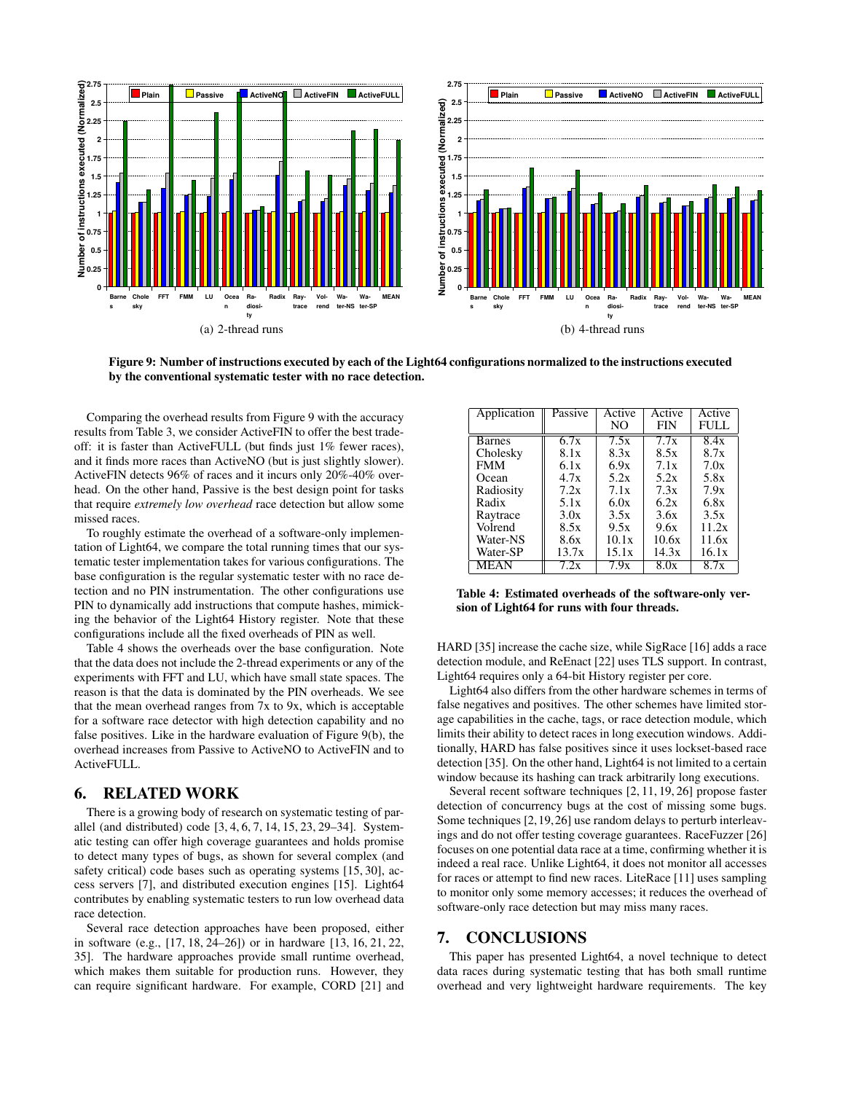

Figure 9: Number of instructions executed by each of the Light64 configurations normalized to the instructions executed by the conventional systematic tester with no race detection.

Comparing the overhead results from Figure 9 with the accuracy results from Table 3, we consider ActiveFIN to offer the best tradeoff: it is faster than ActiveFULL (but finds just 1% fewer races), and it finds more races than ActiveNO (but is just slightly slower). ActiveFIN detects 96% of races and it incurs only 20%-40% overhead. On the other hand, Passive is the best design point for tasks that require *extremely low overhead* race detection but allow some missed races.

To roughly estimate the overhead of a software-only implementation of Light64, we compare the total running times that our systematic tester implementation takes for various configurations. The base configuration is the regular systematic tester with no race detection and no PIN instrumentation. The other configurations use PIN to dynamically add instructions that compute hashes, mimicking the behavior of the Light64 History register. Note that these configurations include all the fixed overheads of PIN as well.

Table 4 shows the overheads over the base configuration. Note that the data does not include the 2-thread experiments or any of the experiments with FFT and LU, which have small state spaces. The reason is that the data is dominated by the PIN overheads. We see that the mean overhead ranges from 7x to 9x, which is acceptable for a software race detector with high detection capability and no false positives. Like in the hardware evaluation of Figure 9(b), the overhead increases from Passive to ActiveNO to ActiveFIN and to ActiveFULL.

## 6. RELATED WORK

There is a growing body of research on systematic testing of parallel (and distributed) code [3, 4, 6, 7, 14, 15, 23, 29–34]. Systematic testing can offer high coverage guarantees and holds promise to detect many types of bugs, as shown for several complex (and safety critical) code bases such as operating systems [15, 30], access servers [7], and distributed execution engines [15]. Light64 contributes by enabling systematic testers to run low overhead data race detection.

Several race detection approaches have been proposed, either in software (e.g., [17, 18, 24–26]) or in hardware [13, 16, 21, 22, 35]. The hardware approaches provide small runtime overhead, which makes them suitable for production runs. However, they can require significant hardware. For example, CORD [21] and

| Application   | Passive | Active | Active     | Active |
|---------------|---------|--------|------------|--------|
|               |         | NO.    | <b>FIN</b> | FULL   |
| <b>Barnes</b> | 6.7x    | 7.5x   | 7.7x       | 8.4x   |
| Cholesky      | 8.1x    | 8.3x   | 8.5x       | 8.7x   |
| <b>FMM</b>    | 6.1x    | 6.9x   | 7.1x       | 7.0x   |
| Ocean         | 4.7x    | 5.2x   | 5.2x       | 5.8x   |
| Radiosity     | 7.2x    | 7.1x   | 7.3x       | 7.9x   |
| Radix         | 5.1x    | 6.0x   | 6.2x       | 6.8x   |
| Raytrace      | 3.0x    | 3.5x   | 3.6x       | 3.5x   |
| Volrend       | 8.5x    | 9.5x   | 9.6x       | 11.2x  |
| Water-NS      | 8.6x    | 10.1x  | 10.6x      | 11.6x  |
| Water-SP      | 13.7x   | 15.1x  | 14.3x      | 16.1x  |
| MEAN          | 7.2x    | 7.9x   | 8.0x       | 8.7x   |

Table 4: Estimated overheads of the software-only version of Light64 for runs with four threads.

HARD [35] increase the cache size, while SigRace [16] adds a race detection module, and ReEnact [22] uses TLS support. In contrast, Light64 requires only a 64-bit History register per core.

Light64 also differs from the other hardware schemes in terms of false negatives and positives. The other schemes have limited storage capabilities in the cache, tags, or race detection module, which limits their ability to detect races in long execution windows. Additionally, HARD has false positives since it uses lockset-based race detection [35]. On the other hand, Light64 is not limited to a certain window because its hashing can track arbitrarily long executions.

Several recent software techniques [2, 11, 19, 26] propose faster detection of concurrency bugs at the cost of missing some bugs. Some techniques [2,19,26] use random delays to perturb interleavings and do not offer testing coverage guarantees. RaceFuzzer [26] focuses on one potential data race at a time, confirming whether it is indeed a real race. Unlike Light64, it does not monitor all accesses for races or attempt to find new races. LiteRace [11] uses sampling to monitor only some memory accesses; it reduces the overhead of software-only race detection but may miss many races.

## 7. CONCLUSIONS

This paper has presented Light64, a novel technique to detect data races during systematic testing that has both small runtime overhead and very lightweight hardware requirements. The key